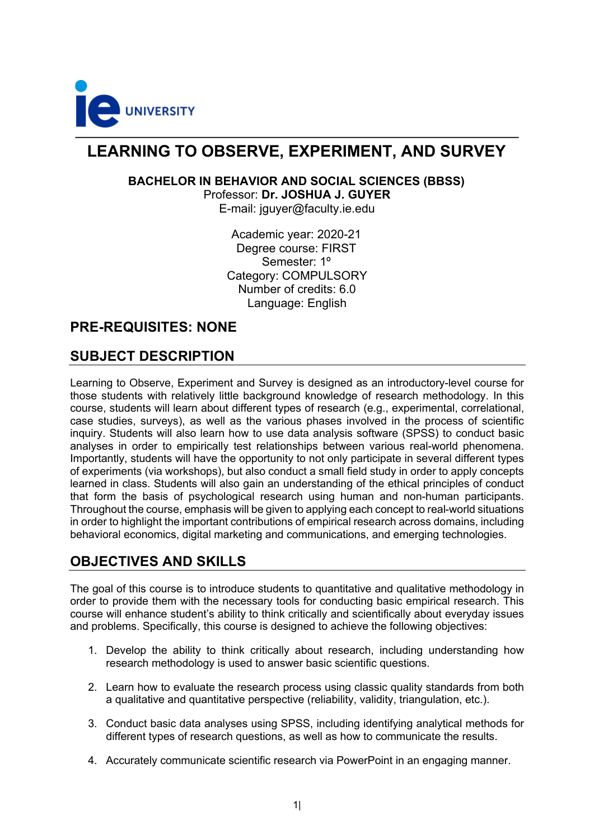

## **LEARNING TO OBSERVE, EXPERIMENT, AND SURVEY**

# **BACHELOR IN BEHAVIOR AND SOCIAL SCIENCES (BBSS)**

Professor: **Dr. JOSHUA J. GUYER**

E-mail: jguyer@faculty.ie.edu

Academic year: 2020-21 Degree course: FIRST Semester: 1º Category: COMPULSORY Number of credits: 6.0 Language: English

## **PRE-REQUISITES: NONE**

## **SUBJECT DESCRIPTION**

Learning to Observe, Experiment and Survey is designed as an introductory-level course for those students with relatively little background knowledge of research methodology. In this course, students will learn about different types of research (e.g., experimental, correlational, case studies, surveys), as well as the various phases involved in the process of scientific inquiry. Students will also learn how to use data analysis software (SPSS) to conduct basic analyses in order to empirically test relationships between various real-world phenomena. Importantly, students will have the opportunity to not only participate in several different types of experiments (via workshops), but also conduct a small field study in order to apply concepts learned in class. Students will also gain an understanding of the ethical principles of conduct that form the basis of psychological research using human and non-human participants. Throughout the course, emphasis will be given to applying each concept to real-world situations in order to highlight the important contributions of empirical research across domains, including behavioral economics, digital marketing and communications, and emerging technologies.

## **OBJECTIVES AND SKILLS**

The goal of this course is to introduce students to quantitative and qualitative methodology in order to provide them with the necessary tools for conducting basic empirical research. This course will enhance student's ability to think critically and scientifically about everyday issues and problems. Specifically, this course is designed to achieve the following objectives:

- 1. Develop the ability to think critically about research, including understanding how research methodology is used to answer basic scientific questions.
- 2. Learn how to evaluate the research process using classic quality standards from both a qualitative and quantitative perspective (reliability, validity, triangulation, etc.).
- 3. Conduct basic data analyses using SPSS, including identifying analytical methods for different types of research questions, as well as how to communicate the results.
- 4. Accurately communicate scientific research via PowerPoint in an engaging manner.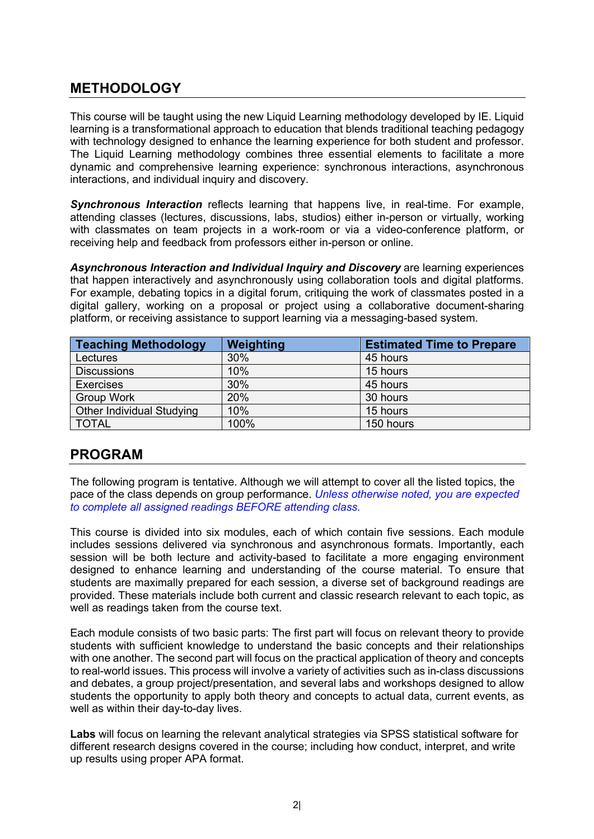## **METHODOLOGY**

This course will be taught using the new Liquid Learning methodology developed by IE. Liquid learning is a transformational approach to education that blends traditional teaching pedagogy with technology designed to enhance the learning experience for both student and professor. The Liquid Learning methodology combines three essential elements to facilitate a more dynamic and comprehensive learning experience: synchronous interactions, asynchronous interactions, and individual inquiry and discovery.

*Synchronous Interaction* reflects learning that happens live, in real-time. For example, attending classes (lectures, discussions, labs, studios) either in-person or virtually, working with classmates on team projects in a work-room or via a video-conference platform, or receiving help and feedback from professors either in-person or online.

*Asynchronous Interaction and Individual Inquiry and Discovery* are learning experiences that happen interactively and asynchronously using collaboration tools and digital platforms. For example, debating topics in a digital forum, critiquing the work of classmates posted in a digital gallery, working on a proposal or project using a collaborative document-sharing platform, or receiving assistance to support learning via a messaging-based system.

| Teaching Methodology      | Weighting | <b>Estimated Time to Prepare</b> |
|---------------------------|-----------|----------------------------------|
| Lectures                  | 30%       | 45 hours                         |
| <b>Discussions</b>        | 10%       | 15 hours                         |
| <b>Exercises</b>          | 30%       | 45 hours                         |
| <b>Group Work</b>         | 20%       | 30 hours                         |
| Other Individual Studying | 10%       | 15 hours                         |
| <b>TOTAL</b>              | 100%      | 150 hours                        |

## **PROGRAM**

The following program is tentative. Although we will attempt to cover all the listed topics, the pace of the class depends on group performance. *Unless otherwise noted, you are expected to complete all assigned readings BEFORE attending class.*

This course is divided into six modules, each of which contain five sessions. Each module includes sessions delivered via synchronous and asynchronous formats. Importantly, each session will be both lecture and activity-based to facilitate a more engaging environment designed to enhance learning and understanding of the course material. To ensure that students are maximally prepared for each session, a diverse set of background readings are provided. These materials include both current and classic research relevant to each topic, as well as readings taken from the course text.

Each module consists of two basic parts: The first part will focus on relevant theory to provide students with sufficient knowledge to understand the basic concepts and their relationships with one another. The second part will focus on the practical application of theory and concepts to real-world issues. This process will involve a variety of activities such as in-class discussions and debates, a group project/presentation, and several labs and workshops designed to allow students the opportunity to apply both theory and concepts to actual data, current events, as well as within their day-to-day lives.

**Labs** will focus on learning the relevant analytical strategies via SPSS statistical software for different research designs covered in the course; including how conduct, interpret, and write up results using proper APA format.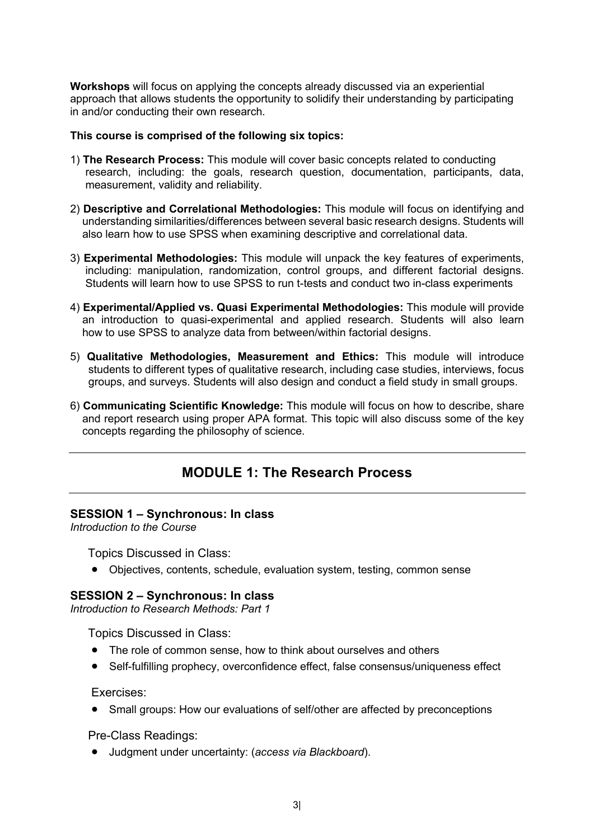**Workshops** will focus on applying the concepts already discussed via an experiential approach that allows students the opportunity to solidify their understanding by participating in and/or conducting their own research.

#### **This course is comprised of the following six topics:**

- 1) **The Research Process:** This module will cover basic concepts related to conducting research, including: the goals, research question, documentation, participants, data, measurement, validity and reliability.
- 2) **Descriptive and Correlational Methodologies:** This module will focus on identifying and understanding similarities/differences between several basic research designs. Students will also learn how to use SPSS when examining descriptive and correlational data.
- 3) **Experimental Methodologies:** This module will unpack the key features of experiments, including: manipulation, randomization, control groups, and different factorial designs. Students will learn how to use SPSS to run t-tests and conduct two in-class experiments
- 4) **Experimental/Applied vs. Quasi Experimental Methodologies:** This module will provide an introduction to quasi-experimental and applied research. Students will also learn how to use SPSS to analyze data from between/within factorial designs.
- 5) **Qualitative Methodologies, Measurement and Ethics:** This module will introduce students to different types of qualitative research, including case studies, interviews, focus groups, and surveys. Students will also design and conduct a field study in small groups.
- 6) **Communicating Scientific Knowledge:** This module will focus on how to describe, share and report research using proper APA format. This topic will also discuss some of the key concepts regarding the philosophy of science.

## **MODULE 1: The Research Process**

### **SESSION 1 – Synchronous: In class**

*Introduction to the Course*

Topics Discussed in Class:

• Objectives, contents, schedule, evaluation system, testing, common sense

### **SESSION 2 – Synchronous: In class**

*Introduction to Research Methods: Part 1* 

Topics Discussed in Class:

- The role of common sense, how to think about ourselves and others
- Self-fulfilling prophecy, overconfidence effect, false consensus/uniqueness effect

Exercises:

• Small groups: How our evaluations of self/other are affected by preconceptions

Pre-Class Readings:

• Judgment under uncertainty: (*access via Blackboard*).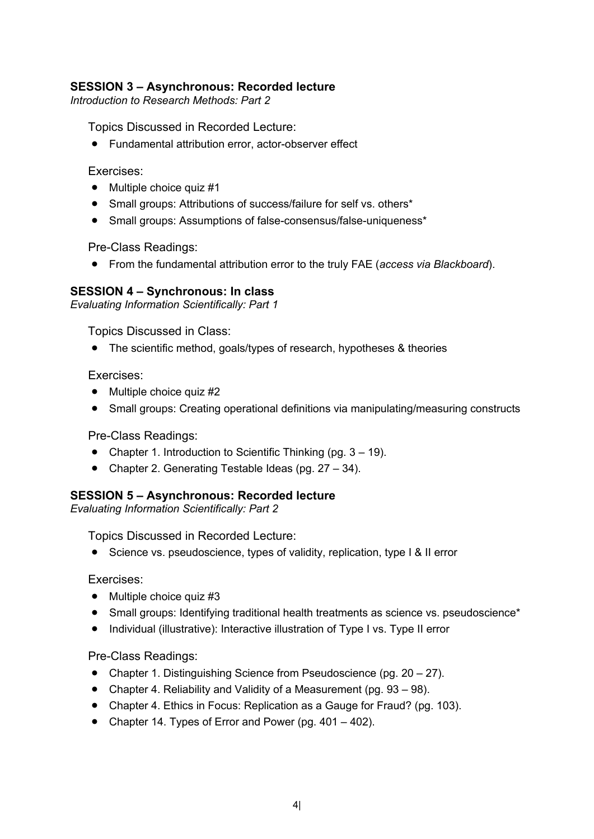## **SESSION 3 – Asynchronous: Recorded lecture**

*Introduction to Research Methods: Part 2* 

Topics Discussed in Recorded Lecture:

• Fundamental attribution error, actor-observer effect

Exercises:

- Multiple choice quiz #1
- Small groups: Attributions of success/failure for self vs. others\*
- Small groups: Assumptions of false-consensus/false-uniqueness\*

Pre-Class Readings:

• From the fundamental attribution error to the truly FAE (*access via Blackboard*).

## **SESSION 4 – Synchronous: In class**

*Evaluating Information Scientifically: Part 1* 

Topics Discussed in Class:

• The scientific method, goals/types of research, hypotheses & theories

Exercises:

- Multiple choice quiz #2
- Small groups: Creating operational definitions via manipulating/measuring constructs

Pre-Class Readings:

- Chapter 1. Introduction to Scientific Thinking (pg.  $3 19$ ).
- Chapter 2. Generating Testable Ideas (pg. 27 34).

## **SESSION 5 – Asynchronous: Recorded lecture**

*Evaluating Information Scientifically: Part 2* 

Topics Discussed in Recorded Lecture:

• Science vs. pseudoscience, types of validity, replication, type I & II error

Exercises:

- Multiple choice quiz #3
- Small groups: Identifying traditional health treatments as science vs. pseudoscience\*
- Individual (illustrative): Interactive illustration of Type I vs. Type II error

Pre-Class Readings:

- Chapter 1. Distinguishing Science from Pseudoscience (pg. 20 27).
- Chapter 4. Reliability and Validity of a Measurement (pg. 93 98).
- Chapter 4. Ethics in Focus: Replication as a Gauge for Fraud? (pg. 103).
- Chapter 14. Types of Error and Power (pg. 401 402).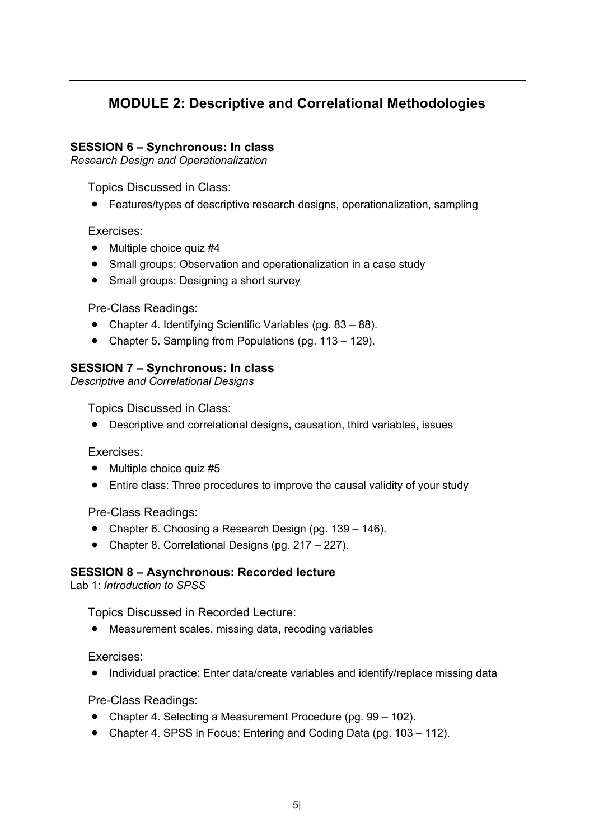## **MODULE 2: Descriptive and Correlational Methodologies**

## **SESSION 6 – Synchronous: In class**

*Research Design and Operationalization* 

Topics Discussed in Class:

• Features/types of descriptive research designs, operationalization, sampling

Exercises:

- Multiple choice quiz #4
- Small groups: Observation and operationalization in a case study
- Small groups: Designing a short survey

Pre-Class Readings:

- Chapter 4. Identifying Scientific Variables (pg. 83 88).
- Chapter 5. Sampling from Populations (pg. 113 129).

## **SESSION 7 – Synchronous: In class**

*Descriptive and Correlational Designs* 

Topics Discussed in Class:

• Descriptive and correlational designs, causation, third variables, issues

Exercises:

- Multiple choice quiz #5
- Entire class: Three procedures to improve the causal validity of your study

Pre-Class Readings:

- Chapter 6. Choosing a Research Design (pg. 139 146).
- Chapter 8. Correlational Designs (pg. 217 227).

### **SESSION 8 – Asynchronous: Recorded lecture**

Lab 1: *Introduction to SPSS*

Topics Discussed in Recorded Lecture:

• Measurement scales, missing data, recoding variables

Exercises:

• Individual practice: Enter data/create variables and identify/replace missing data

Pre-Class Readings:

- Chapter 4. Selecting a Measurement Procedure (pg. 99 102).
- Chapter 4. SPSS in Focus: Entering and Coding Data (pg. 103 112).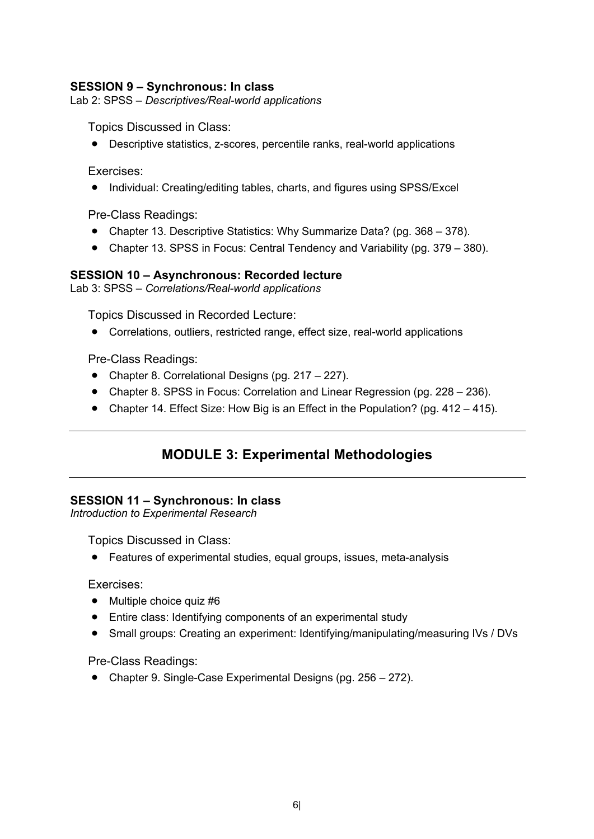## **SESSION 9 – Synchronous: In class**

Lab 2: SPSS *– Descriptives/Real-world applications*

Topics Discussed in Class:

• Descriptive statistics, z-scores, percentile ranks, real-world applications

Exercises:

• Individual: Creating/editing tables, charts, and figures using SPSS/Excel

Pre-Class Readings:

- Chapter 13. Descriptive Statistics: Why Summarize Data? (pg. 368 378).
- Chapter 13. SPSS in Focus: Central Tendency and Variability (pg. 379 380).

### **SESSION 10 – Asynchronous: Recorded lecture**

Lab 3: SPSS – *Correlations/Real-world applications*

Topics Discussed in Recorded Lecture:

• Correlations, outliers, restricted range, effect size, real-world applications

Pre-Class Readings:

- Chapter 8. Correlational Designs (pg. 217 227).
- Chapter 8. SPSS in Focus: Correlation and Linear Regression (pg. 228 236).
- Chapter 14. Effect Size: How Big is an Effect in the Population? (pg. 412 415).

## **MODULE 3: Experimental Methodologies**

### **SESSION 11 – Synchronous: In class**

*Introduction to Experimental Research* 

Topics Discussed in Class:

• Features of experimental studies, equal groups, issues, meta-analysis

Exercises:

- Multiple choice quiz #6
- Entire class: Identifying components of an experimental study
- Small groups: Creating an experiment: Identifying/manipulating/measuring IVs / DVs

Pre-Class Readings:

• Chapter 9. Single-Case Experimental Designs (pg. 256 – 272).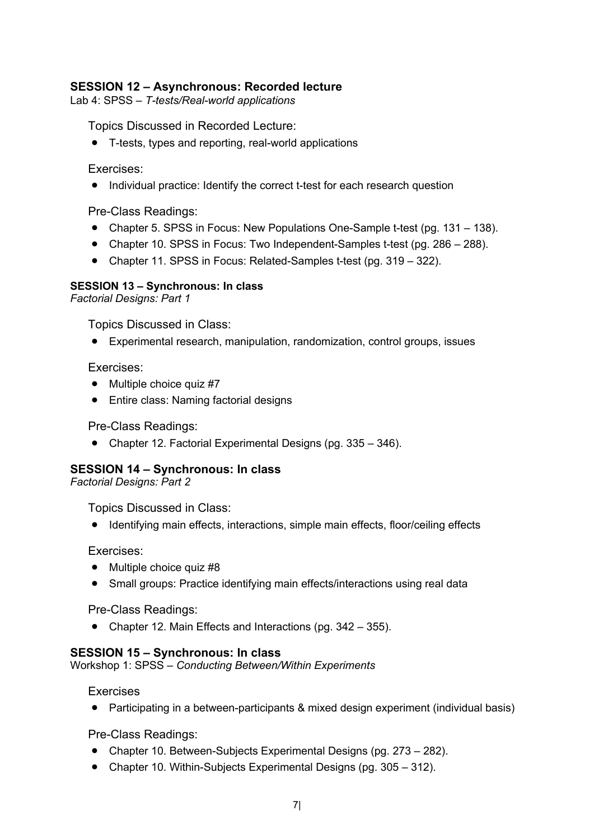## **SESSION 12 – Asynchronous: Recorded lecture**

Lab 4: SPSS – *T-tests/Real-world applications*

Topics Discussed in Recorded Lecture:

• T-tests, types and reporting, real-world applications

### Exercises:

• Individual practice: Identify the correct t-test for each research question

Pre-Class Readings:

- Chapter 5. SPSS in Focus: New Populations One-Sample t-test (pg. 131 138).
- Chapter 10. SPSS in Focus: Two Independent-Samples t-test (pg. 286 288).
- Chapter 11. SPSS in Focus: Related-Samples t-test (pg. 319 322).

## **SESSION 13 – Synchronous: In class**

*Factorial Designs: Part 1* 

Topics Discussed in Class:

• Experimental research, manipulation, randomization, control groups, issues

Exercises:

- Multiple choice quiz #7
- Entire class: Naming factorial designs

Pre-Class Readings:

• Chapter 12. Factorial Experimental Designs (pg. 335 – 346).

## **SESSION 14 – Synchronous: In class**

*Factorial Designs: Part 2* 

Topics Discussed in Class:

• Identifying main effects, interactions, simple main effects, floor/ceiling effects

Exercises:

- Multiple choice quiz #8
- Small groups: Practice identifying main effects/interactions using real data

Pre-Class Readings:

• Chapter 12. Main Effects and Interactions (pg. 342 – 355).

## **SESSION 15 – Synchronous: In class**

Workshop 1: SPSS – *Conducting Between/Within Experiments*

Exercises

• Participating in a between-participants & mixed design experiment (individual basis)

Pre-Class Readings:

- Chapter 10. Between-Subjects Experimental Designs (pg. 273 282).
- Chapter 10. Within-Subjects Experimental Designs (pg. 305 312).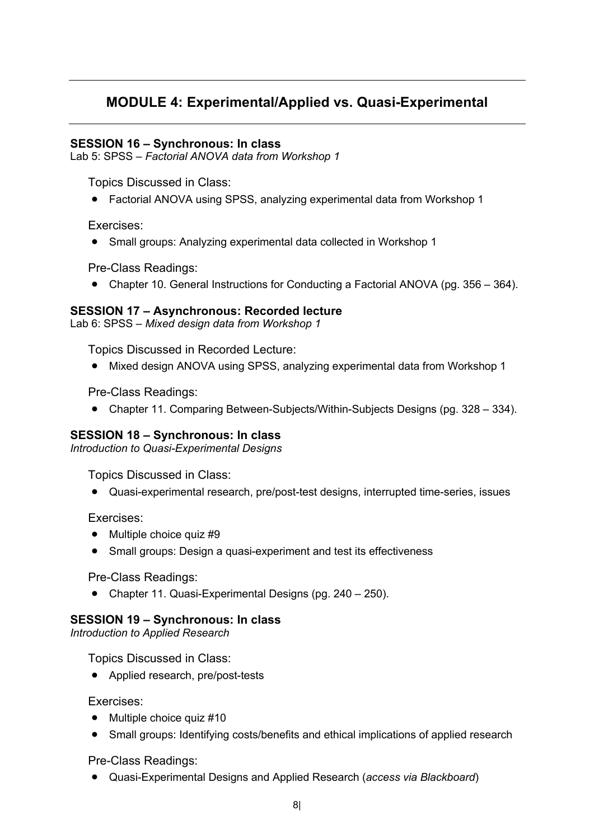## **MODULE 4: Experimental/Applied vs. Quasi-Experimental**

### **SESSION 16 – Synchronous: In class**

Lab 5: SPSS – *Factorial ANOVA data from Workshop 1*

Topics Discussed in Class:

• Factorial ANOVA using SPSS, analyzing experimental data from Workshop 1

Exercises:

• Small groups: Analyzing experimental data collected in Workshop 1

Pre-Class Readings:

• Chapter 10. General Instructions for Conducting a Factorial ANOVA (pg. 356 – 364).

### **SESSION 17 – Asynchronous: Recorded lecture**

Lab 6: SPSS – *Mixed design data from Workshop 1*

Topics Discussed in Recorded Lecture:

• Mixed design ANOVA using SPSS, analyzing experimental data from Workshop 1

Pre-Class Readings:

• Chapter 11. Comparing Between-Subjects/Within-Subjects Designs (pg. 328 – 334).

## **SESSION 18 – Synchronous: In class**

*Introduction to Quasi-Experimental Designs* 

Topics Discussed in Class:

• Quasi-experimental research, pre/post-test designs, interrupted time-series, issues

Exercises:

- Multiple choice quiz #9
- Small groups: Design a quasi-experiment and test its effectiveness

Pre-Class Readings:

• Chapter 11. Quasi-Experimental Designs (pg. 240 – 250).

### **SESSION 19 – Synchronous: In class**

*Introduction to Applied Research* 

Topics Discussed in Class:

• Applied research, pre/post-tests

Exercises:

- Multiple choice quiz #10
- Small groups: Identifying costs/benefits and ethical implications of applied research

Pre-Class Readings:

• Quasi-Experimental Designs and Applied Research (*access via Blackboard*)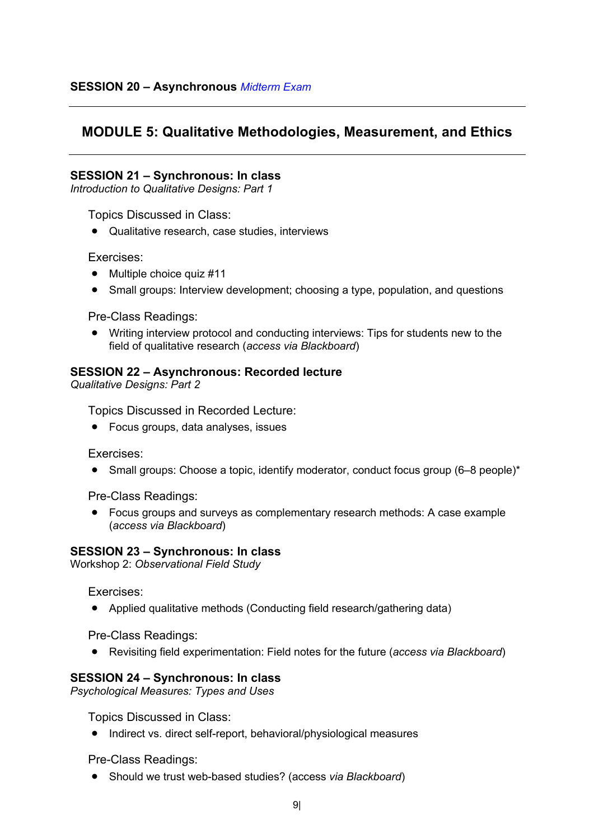## **MODULE 5: Qualitative Methodologies, Measurement, and Ethics**

### **SESSION 21 – Synchronous: In class**

*Introduction to Qualitative Designs: Part 1*

Topics Discussed in Class:

• Qualitative research, case studies, interviews

### Exercises:

- Multiple choice quiz #11
- Small groups: Interview development; choosing a type, population, and questions

Pre-Class Readings:

• Writing interview protocol and conducting interviews: Tips for students new to the field of qualitative research (*access via Blackboard*)

### **SESSION 22 – Asynchronous: Recorded lecture**

*Qualitative Designs: Part 2*

Topics Discussed in Recorded Lecture:

• Focus groups, data analyses, issues

Exercises:

• Small groups: Choose a topic, identify moderator, conduct focus group (6–8 people)<sup>\*</sup>

Pre-Class Readings:

• Focus groups and surveys as complementary research methods: A case example (*access via Blackboard*)

### **SESSION 23 – Synchronous: In class**

Workshop 2: *Observational Field Study*

Exercises:

• Applied qualitative methods (Conducting field research/gathering data)

Pre-Class Readings:

• Revisiting field experimentation: Field notes for the future (*access via Blackboard*)

### **SESSION 24 – Synchronous: In class**

*Psychological Measures: Types and Uses*

Topics Discussed in Class:

• Indirect vs. direct self-report, behavioral/physiological measures

Pre-Class Readings:

• Should we trust web-based studies? (access *via Blackboard*)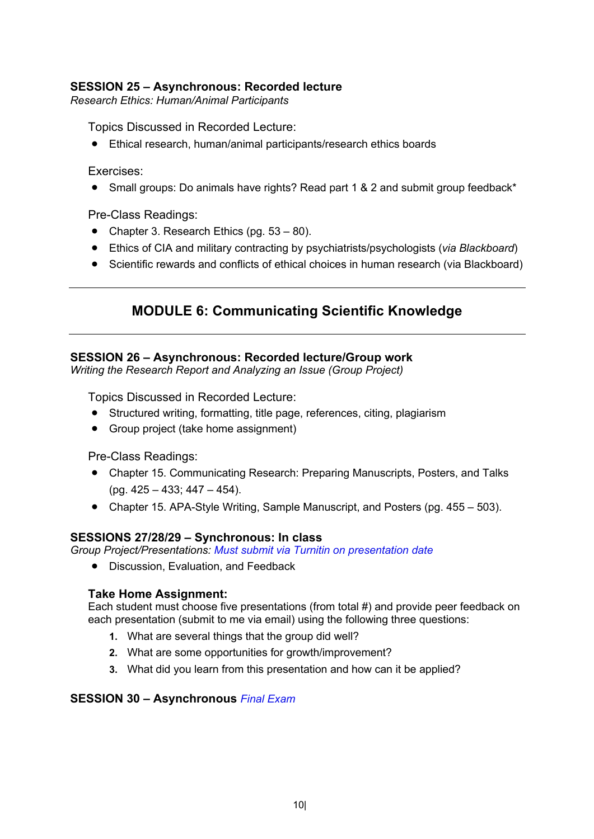## **SESSION 25 – Asynchronous: Recorded lecture**

*Research Ethics: Human/Animal Participants*

Topics Discussed in Recorded Lecture:

• Ethical research, human/animal participants/research ethics boards

Exercises:

• Small groups: Do animals have rights? Read part 1 & 2 and submit group feedback\*

Pre-Class Readings:

- Chapter 3. Research Ethics (pg. 53 80).
- Ethics of CIA and military contracting by psychiatrists/psychologists (*via Blackboard*)
- Scientific rewards and conflicts of ethical choices in human research (via Blackboard)

## **MODULE 6: Communicating Scientific Knowledge**

## **SESSION 26 – Asynchronous: Recorded lecture/Group work**

*Writing the Research Report and Analyzing an Issue (Group Project)*

Topics Discussed in Recorded Lecture:

- Structured writing, formatting, title page, references, citing, plagiarism
- Group project (take home assignment)

Pre-Class Readings:

- Chapter 15. Communicating Research: Preparing Manuscripts, Posters, and Talks (pg. 425 – 433; 447 – 454).
- Chapter 15. APA-Style Writing, Sample Manuscript, and Posters (pg. 455 503).

## **SESSIONS 27/28/29 – Synchronous: In class**

*Group Project/Presentations: Must submit via Turnitin on presentation date*

• Discussion, Evaluation, and Feedback

## **Take Home Assignment:**

Each student must choose five presentations (from total #) and provide peer feedback on each presentation (submit to me via email) using the following three questions:

- **1.** What are several things that the group did well?
- **2.** What are some opportunities for growth/improvement?
- **3.** What did you learn from this presentation and how can it be applied?

## **SESSION 30 – Asynchronous** *Final Exam*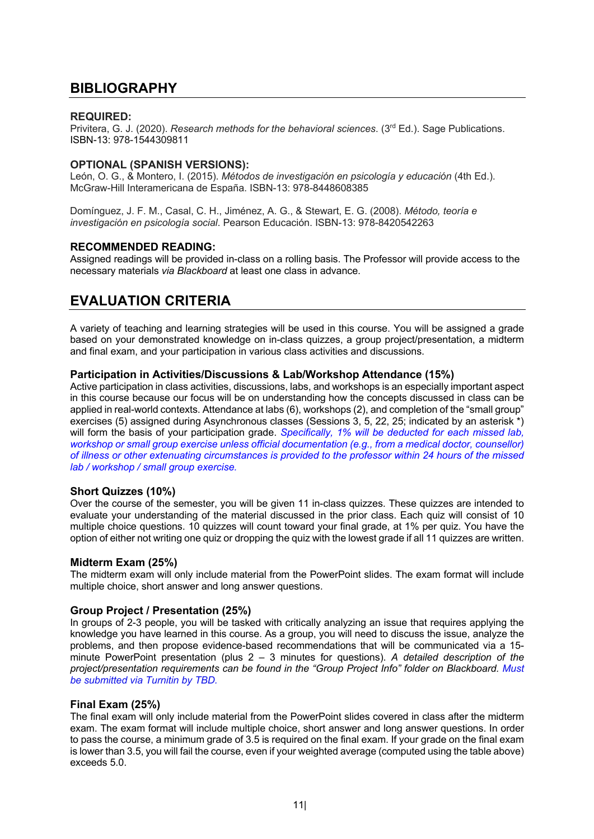## **BIBLIOGRAPHY**

#### **REQUIRED:**

Privitera, G. J. (2020). *Research methods for the behavioral sciences*. (3rd Ed.). Sage Publications. ISBN-13: 978-1544309811

### **OPTIONAL (SPANISH VERSIONS):**

León, O. G., & Montero, I. (2015). *Métodos de investigación en psicología y educación* (4th Ed.). McGraw-Hill Interamericana de España. ISBN-13: 978-8448608385

Domínguez, J. F. M., Casal, C. H., Jiménez, A. G., & Stewart, E. G. (2008). *Método, teoría e investigación en psicología social*. Pearson Educación. ISBN-13: 978-8420542263

#### **RECOMMENDED READING:**

Assigned readings will be provided in-class on a rolling basis. The Professor will provide access to the necessary materials *via Blackboard* at least one class in advance.

## **EVALUATION CRITERIA**

A variety of teaching and learning strategies will be used in this course. You will be assigned a grade based on your demonstrated knowledge on in-class quizzes, a group project/presentation, a midterm and final exam, and your participation in various class activities and discussions.

### **Participation in Activities/Discussions & Lab/Workshop Attendance (15%)**

Active participation in class activities, discussions, labs, and workshops is an especially important aspect in this course because our focus will be on understanding how the concepts discussed in class can be applied in real-world contexts. Attendance at labs (6), workshops (2), and completion of the "small group" exercises (5) assigned during Asynchronous classes (Sessions 3, 5, 22, 25; indicated by an asterisk \*) will form the basis of your participation grade. *Specifically, 1% will be deducted for each missed lab, workshop or small group exercise unless official documentation (e.g., from a medical doctor, counsellor) of illness or other extenuating circumstances is provided to the professor within 24 hours of the missed lab / workshop / small group exercise.*

#### **Short Quizzes (10%)**

Over the course of the semester, you will be given 11 in-class quizzes. These quizzes are intended to evaluate your understanding of the material discussed in the prior class. Each quiz will consist of 10 multiple choice questions. 10 quizzes will count toward your final grade, at 1% per quiz. You have the option of either not writing one quiz or dropping the quiz with the lowest grade if all 11 quizzes are written.

#### **Midterm Exam (25%)**

The midterm exam will only include material from the PowerPoint slides. The exam format will include multiple choice, short answer and long answer questions.

#### **Group Project / Presentation (25%)**

In groups of 2-3 people, you will be tasked with critically analyzing an issue that requires applying the knowledge you have learned in this course. As a group, you will need to discuss the issue, analyze the problems, and then propose evidence-based recommendations that will be communicated via a 15 minute PowerPoint presentation (plus 2 – 3 minutes for questions). *A detailed description of the project/presentation requirements can be found in the "Group Project Info" folder on Blackboard. Must be submitted via Turnitin by TBD.*

#### **Final Exam (25%)**

The final exam will only include material from the PowerPoint slides covered in class after the midterm exam. The exam format will include multiple choice, short answer and long answer questions. In order to pass the course, a minimum grade of 3.5 is required on the final exam. If your grade on the final exam is lower than 3.5, you will fail the course, even if your weighted average (computed using the table above) exceeds 5.0.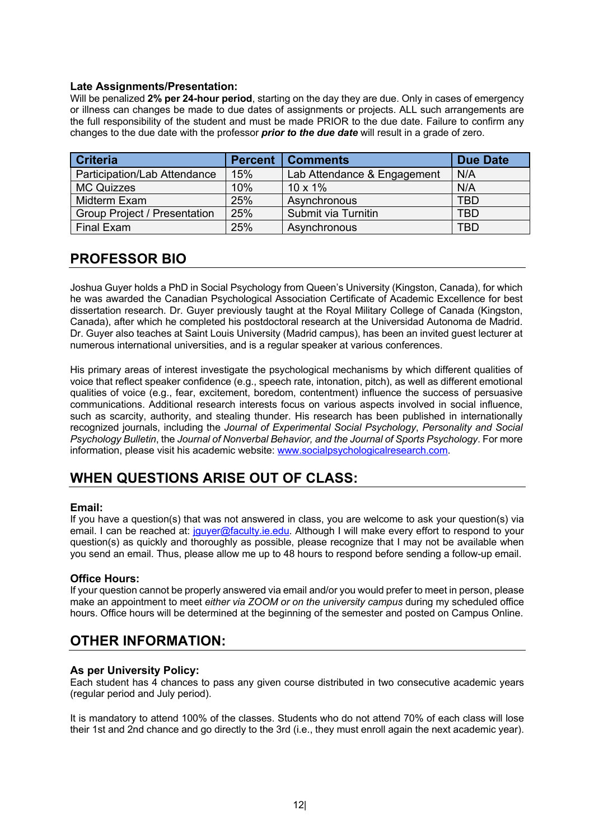#### **Late Assignments/Presentation:**

Will be penalized **2% per 24-hour period**, starting on the day they are due. Only in cases of emergency or illness can changes be made to due dates of assignments or projects. ALL such arrangements are the full responsibility of the student and must be made PRIOR to the due date. Failure to confirm any changes to the due date with the professor *prior to the due date* will result in a grade of zero.

| <b>Criteria</b>                     | <b>Percent</b> | <b>Comments</b>             | <b>Due Date</b> |
|-------------------------------------|----------------|-----------------------------|-----------------|
| Participation/Lab Attendance        | 15%            | Lab Attendance & Engagement | N/A             |
| <b>MC Quizzes</b>                   | 10%            | $10 \times 1\%$             | N/A             |
| Midterm Exam                        | 25%            | Asynchronous                | TBD             |
| <b>Group Project / Presentation</b> | 25%            | Submit via Turnitin         | TBD             |
| <b>Final Exam</b>                   | 25%            | Asynchronous                | TBD             |

## **PROFESSOR BIO**

Joshua Guyer holds a PhD in Social Psychology from Queen's University (Kingston, Canada), for which he was awarded the Canadian Psychological Association Certificate of Academic Excellence for best dissertation research. Dr. Guyer previously taught at the Royal Military College of Canada (Kingston, Canada), after which he completed his postdoctoral research at the Universidad Autonoma de Madrid. Dr. Guyer also teaches at Saint Louis University (Madrid campus), has been an invited guest lecturer at numerous international universities, and is a regular speaker at various conferences.

His primary areas of interest investigate the psychological mechanisms by which different qualities of voice that reflect speaker confidence (e.g., speech rate, intonation, pitch), as well as different emotional qualities of voice (e.g., fear, excitement, boredom, contentment) influence the success of persuasive communications. Additional research interests focus on various aspects involved in social influence, such as scarcity, authority, and stealing thunder. His research has been published in internationally recognized journals, including the *Journal of Experimental Social Psychology*, *Personality and Social Psychology Bulletin*, the *Journal of Nonverbal Behavior, and the Journal of Sports Psychology*. For more information, please visit his academic website: www.socialpsychologicalresearch.com.

## **WHEN QUESTIONS ARISE OUT OF CLASS:**

#### **Email:**

If you have a question(s) that was not answered in class, you are welcome to ask your question(s) via email. I can be reached at: jquyer@faculty.ie.edu. Although I will make every effort to respond to your question(s) as quickly and thoroughly as possible, please recognize that I may not be available when you send an email. Thus, please allow me up to 48 hours to respond before sending a follow-up email.

#### **Office Hours:**

If your question cannot be properly answered via email and/or you would prefer to meet in person, please make an appointment to meet *either via ZOOM or on the university campus* during my scheduled office hours. Office hours will be determined at the beginning of the semester and posted on Campus Online.

## **OTHER INFORMATION:**

### **As per University Policy:**

Each student has 4 chances to pass any given course distributed in two consecutive academic years (regular period and July period).

It is mandatory to attend 100% of the classes. Students who do not attend 70% of each class will lose their 1st and 2nd chance and go directly to the 3rd (i.e., they must enroll again the next academic year).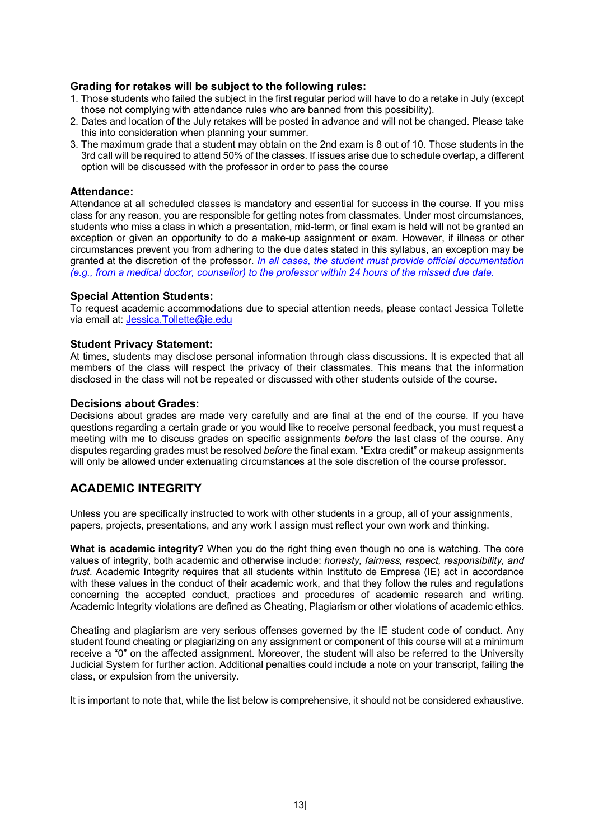#### **Grading for retakes will be subject to the following rules:**

- 1. Those students who failed the subject in the first regular period will have to do a retake in July (except those not complying with attendance rules who are banned from this possibility).
- 2. Dates and location of the July retakes will be posted in advance and will not be changed. Please take this into consideration when planning your summer.
- 3. The maximum grade that a student may obtain on the 2nd exam is 8 out of 10. Those students in the 3rd call will be required to attend 50% of the classes. If issues arise due to schedule overlap, a different option will be discussed with the professor in order to pass the course

#### **Attendance:**

Attendance at all scheduled classes is mandatory and essential for success in the course. If you miss class for any reason, you are responsible for getting notes from classmates. Under most circumstances, students who miss a class in which a presentation, mid-term, or final exam is held will not be granted an exception or given an opportunity to do a make-up assignment or exam. However, if illness or other circumstances prevent you from adhering to the due dates stated in this syllabus, an exception may be granted at the discretion of the professor. *In all cases, the student must provide official documentation (e.g., from a medical doctor, counsellor) to the professor within 24 hours of the missed due date.*

#### **Special Attention Students:**

To request academic accommodations due to special attention needs, please contact Jessica Tollette via email at: Jessica.Tollette@ie.edu

#### **Student Privacy Statement:**

At times, students may disclose personal information through class discussions. It is expected that all members of the class will respect the privacy of their classmates. This means that the information disclosed in the class will not be repeated or discussed with other students outside of the course.

#### **Decisions about Grades:**

Decisions about grades are made very carefully and are final at the end of the course. If you have questions regarding a certain grade or you would like to receive personal feedback, you must request a meeting with me to discuss grades on specific assignments *before* the last class of the course. Any disputes regarding grades must be resolved *before* the final exam. "Extra credit" or makeup assignments will only be allowed under extenuating circumstances at the sole discretion of the course professor.

### **ACADEMIC INTEGRITY**

Unless you are specifically instructed to work with other students in a group, all of your assignments, papers, projects, presentations, and any work I assign must reflect your own work and thinking.

**What is academic integrity?** When you do the right thing even though no one is watching. The core values of integrity, both academic and otherwise include: *honesty, fairness, respect, responsibility, and trust*. Academic Integrity requires that all students within Instituto de Empresa (IE) act in accordance with these values in the conduct of their academic work, and that they follow the rules and regulations concerning the accepted conduct, practices and procedures of academic research and writing. Academic Integrity violations are defined as Cheating, Plagiarism or other violations of academic ethics.

Cheating and plagiarism are very serious offenses governed by the IE student code of conduct. Any student found cheating or plagiarizing on any assignment or component of this course will at a minimum receive a "0" on the affected assignment. Moreover, the student will also be referred to the University Judicial System for further action. Additional penalties could include a note on your transcript, failing the class, or expulsion from the university.

It is important to note that, while the list below is comprehensive, it should not be considered exhaustive.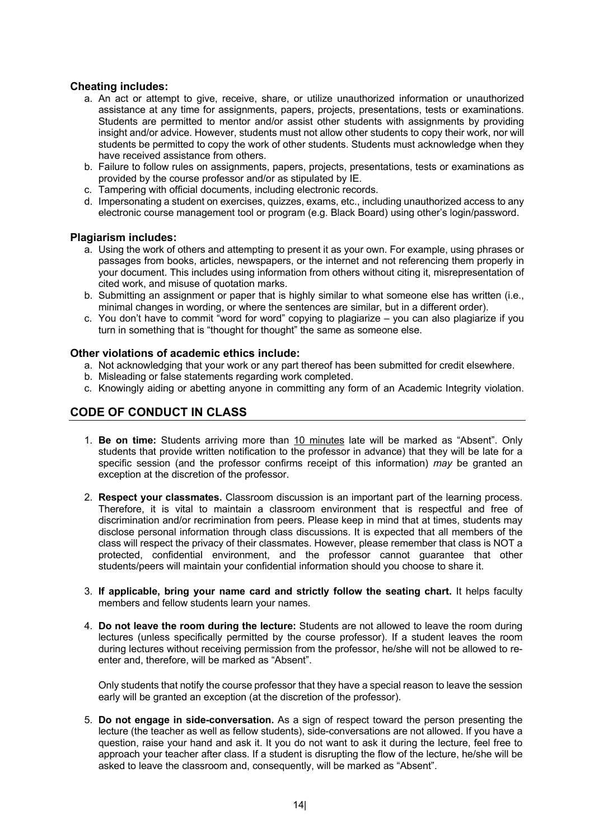#### **Cheating includes:**

- a. An act or attempt to give, receive, share, or utilize unauthorized information or unauthorized assistance at any time for assignments, papers, projects, presentations, tests or examinations. Students are permitted to mentor and/or assist other students with assignments by providing insight and/or advice. However, students must not allow other students to copy their work, nor will students be permitted to copy the work of other students. Students must acknowledge when they have received assistance from others.
- b. Failure to follow rules on assignments, papers, projects, presentations, tests or examinations as provided by the course professor and/or as stipulated by IE.
- c. Tampering with official documents, including electronic records.
- d. Impersonating a student on exercises, quizzes, exams, etc., including unauthorized access to any electronic course management tool or program (e.g. Black Board) using other's login/password.

#### **Plagiarism includes:**

- a. Using the work of others and attempting to present it as your own. For example, using phrases or passages from books, articles, newspapers, or the internet and not referencing them properly in your document. This includes using information from others without citing it, misrepresentation of cited work, and misuse of quotation marks.
- b. Submitting an assignment or paper that is highly similar to what someone else has written (i.e., minimal changes in wording, or where the sentences are similar, but in a different order).
- c. You don't have to commit "word for word" copying to plagiarize you can also plagiarize if you turn in something that is "thought for thought" the same as someone else.

#### **Other violations of academic ethics include:**

- a. Not acknowledging that your work or any part thereof has been submitted for credit elsewhere.
- b. Misleading or false statements regarding work completed.
- c. Knowingly aiding or abetting anyone in committing any form of an Academic Integrity violation.

## **CODE OF CONDUCT IN CLASS**

- 1. **Be on time:** Students arriving more than 10 minutes late will be marked as "Absent". Only students that provide written notification to the professor in advance) that they will be late for a specific session (and the professor confirms receipt of this information) *may* be granted an exception at the discretion of the professor.
- 2. **Respect your classmates.** Classroom discussion is an important part of the learning process. Therefore, it is vital to maintain a classroom environment that is respectful and free of discrimination and/or recrimination from peers. Please keep in mind that at times, students may disclose personal information through class discussions. It is expected that all members of the class will respect the privacy of their classmates. However, please remember that class is NOT a protected, confidential environment, and the professor cannot guarantee that other students/peers will maintain your confidential information should you choose to share it.
- 3. **If applicable, bring your name card and strictly follow the seating chart.** It helps faculty members and fellow students learn your names.
- 4. **Do not leave the room during the lecture:** Students are not allowed to leave the room during lectures (unless specifically permitted by the course professor). If a student leaves the room during lectures without receiving permission from the professor, he/she will not be allowed to reenter and, therefore, will be marked as "Absent".

Only students that notify the course professor that they have a special reason to leave the session early will be granted an exception (at the discretion of the professor).

5. **Do not engage in side-conversation.** As a sign of respect toward the person presenting the lecture (the teacher as well as fellow students), side-conversations are not allowed. If you have a question, raise your hand and ask it. It you do not want to ask it during the lecture, feel free to approach your teacher after class. If a student is disrupting the flow of the lecture, he/she will be asked to leave the classroom and, consequently, will be marked as "Absent".